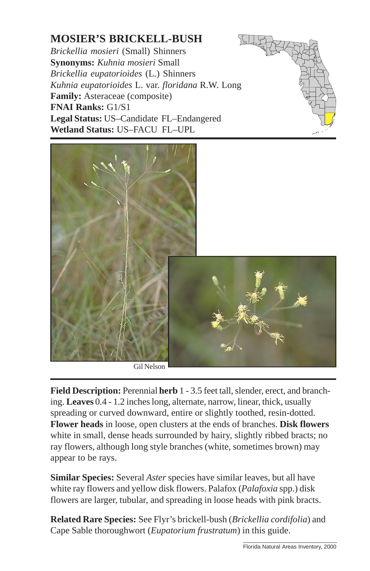## **MOSIER'S BRICKELL-BUSH**

*Brickellia mosieri* (Small) Shinners **Synonyms:** *Kuhnia mosieri* Small *Brickellia eupatorioides* (L.) Shinners *Kuhnia eupatorioides* L. var. *floridana* R.W. Long **Family:** Asteraceae (composite) **FNAI Ranks:** G1/S1 **Legal Status:** US–Candidate FL–Endangered **Wetland Status:** US–FACU FL–UPL





**Field Description:** Perennial **herb** 1 - 3.5 feet tall, slender, erect, and branching. **Leaves** 0.4 - 1.2 inches long, alternate, narrow, linear, thick, usually spreading or curved downward, entire or slightly toothed, resin-dotted. **Flower heads** in loose, open clusters at the ends of branches. **Disk flowers** white in small, dense heads surrounded by hairy, slightly ribbed bracts; no ray flowers, although long style branches (white, sometimes brown) may appear to be rays.

**Similar Species:** Several *Aster* species have similar leaves, but all have white ray flowers and yellow disk flowers. Palafox (*Palafoxia* spp.) disk flowers are larger, tubular, and spreading in loose heads with pink bracts.

**Related Rare Species:** See Flyr's brickell-bush (*Brickellia cordifolia*) and Cape Sable thoroughwort (*Eupatorium frustratum*) in this guide.